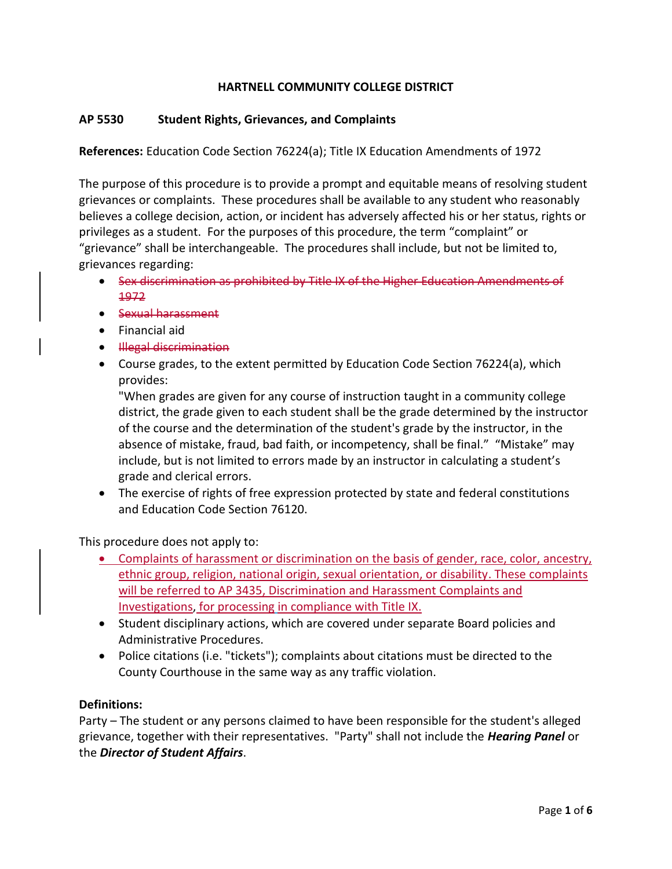## **HARTNELL COMMUNITY COLLEGE DISTRICT**

#### **AP 5530 Student Rights, Grievances, and Complaints**

**References:** Education Code Section 76224(a); Title IX Education Amendments of 1972

The purpose of this procedure is to provide a prompt and equitable means of resolving student grievances or complaints. These procedures shall be available to any student who reasonably believes a college decision, action, or incident has adversely affected his or her status, rights or privileges as a student. For the purposes of this procedure, the term "complaint" or "grievance" shall be interchangeable. The procedures shall include, but not be limited to, grievances regarding:

- Sex discrimination as prohibited by Title IX of the Higher Education Amendments of 1972
- Sexual harassment
- Financial aid
- Hlegal discrimination
- Course grades, to the extent permitted by Education Code Section 76224(a), which provides:

"When grades are given for any course of instruction taught in a community college district, the grade given to each student shall be the grade determined by the instructor of the course and the determination of the student's grade by the instructor, in the absence of mistake, fraud, bad faith, or incompetency, shall be final." "Mistake" may include, but is not limited to errors made by an instructor in calculating a student's grade and clerical errors.

 The exercise of rights of free expression protected by state and federal constitutions and Education Code Section 76120.

This procedure does not apply to:

- Complaints of harassment or discrimination on the basis of gender, race, color, ancestry, ethnic group, religion, national origin, sexual orientation, or disability. These complaints will be referred to AP 3435, Discrimination and Harassment Complaints and Investigations, for processing in compliance with Title IX.
- Student disciplinary actions, which are covered under separate Board policies and Administrative Procedures.
- Police citations (i.e. "tickets"); complaints about citations must be directed to the County Courthouse in the same way as any traffic violation.

#### **Definitions:**

Party – The student or any persons claimed to have been responsible for the student's alleged grievance, together with their representatives. "Party" shall not include the *Hearing Panel* or the *Director of Student Affairs*.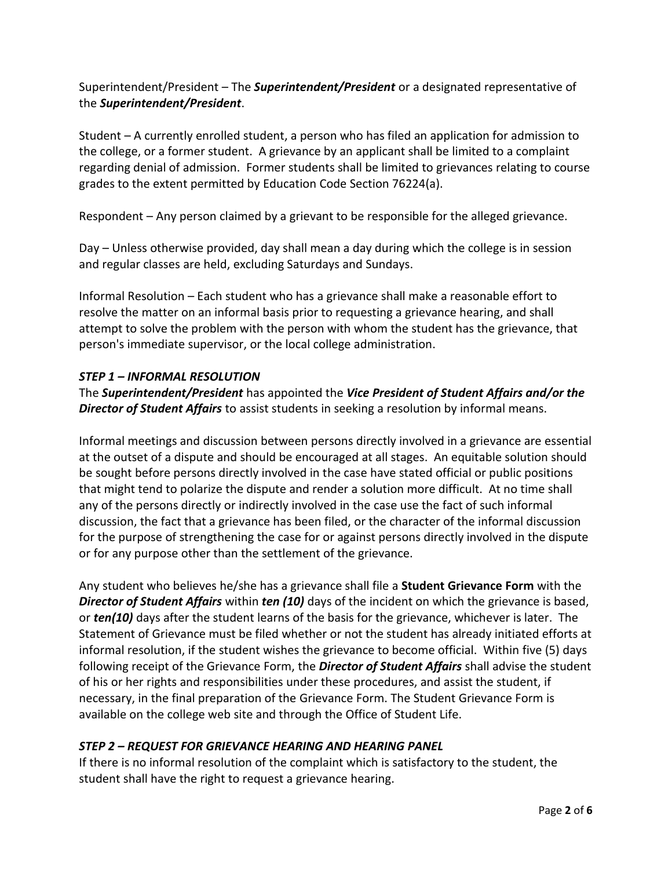# Superintendent/President – The *Superintendent/President* or a designated representative of the *Superintendent/President*.

Student – A currently enrolled student, a person who has filed an application for admission to the college, or a former student. A grievance by an applicant shall be limited to a complaint regarding denial of admission. Former students shall be limited to grievances relating to course grades to the extent permitted by Education Code Section 76224(a).

Respondent – Any person claimed by a grievant to be responsible for the alleged grievance.

Day – Unless otherwise provided, day shall mean a day during which the college is in session and regular classes are held, excluding Saturdays and Sundays.

Informal Resolution – Each student who has a grievance shall make a reasonable effort to resolve the matter on an informal basis prior to requesting a grievance hearing, and shall attempt to solve the problem with the person with whom the student has the grievance, that person's immediate supervisor, or the local college administration.

## *STEP 1 – INFORMAL RESOLUTION*

The *Superintendent/President* has appointed the *Vice President of Student Affairs and/or the Director of Student Affairs* to assist students in seeking a resolution by informal means.

Informal meetings and discussion between persons directly involved in a grievance are essential at the outset of a dispute and should be encouraged at all stages. An equitable solution should be sought before persons directly involved in the case have stated official or public positions that might tend to polarize the dispute and render a solution more difficult. At no time shall any of the persons directly or indirectly involved in the case use the fact of such informal discussion, the fact that a grievance has been filed, or the character of the informal discussion for the purpose of strengthening the case for or against persons directly involved in the dispute or for any purpose other than the settlement of the grievance.

Any student who believes he/she has a grievance shall file a **Student Grievance Form** with the *Director of Student Affairs* within *ten (10)* days of the incident on which the grievance is based, or *ten(10)* days after the student learns of the basis for the grievance, whichever is later. The Statement of Grievance must be filed whether or not the student has already initiated efforts at informal resolution, if the student wishes the grievance to become official. Within five (5) days following receipt of the Grievance Form, the *Director of Student Affairs* shall advise the student of his or her rights and responsibilities under these procedures, and assist the student, if necessary, in the final preparation of the Grievance Form. The Student Grievance Form is available on the college web site and through the Office of Student Life.

# *STEP 2 – REQUEST FOR GRIEVANCE HEARING AND HEARING PANEL*

If there is no informal resolution of the complaint which is satisfactory to the student, the student shall have the right to request a grievance hearing.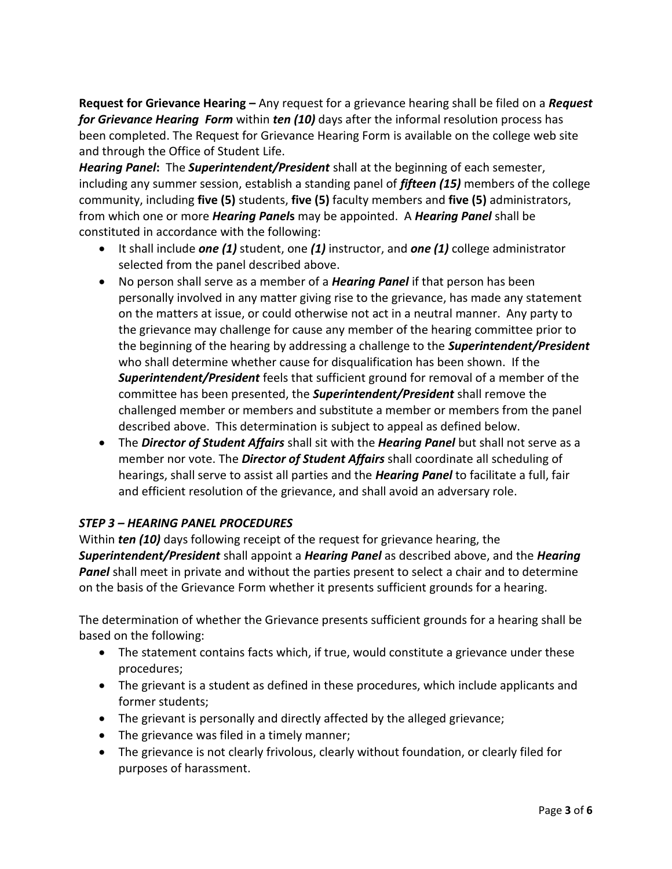**Request for Grievance Hearing –** Any request for a grievance hearing shall be filed on a *Request for Grievance Hearing Form* within *ten (10)* days after the informal resolution process has been completed. The Request for Grievance Hearing Form is available on the college web site and through the Office of Student Life.

*Hearing Panel***:** The *Superintendent/President* shall at the beginning of each semester, including any summer session, establish a standing panel of *fifteen (15)* members of the college community, including **five (5)** students, **five (5)** faculty members and **five (5)** administrators, from which one or more *Hearing Panel***s** may be appointed. A *Hearing Panel* shall be constituted in accordance with the following:

- It shall include *one (1)* student, one *(1)* instructor, and *one (1)* college administrator selected from the panel described above.
- No person shall serve as a member of a *Hearing Panel* if that person has been personally involved in any matter giving rise to the grievance, has made any statement on the matters at issue, or could otherwise not act in a neutral manner. Any party to the grievance may challenge for cause any member of the hearing committee prior to the beginning of the hearing by addressing a challenge to the *Superintendent/President* who shall determine whether cause for disqualification has been shown. If the *Superintendent/President* feels that sufficient ground for removal of a member of the committee has been presented, the *Superintendent/President* shall remove the challenged member or members and substitute a member or members from the panel described above. This determination is subject to appeal as defined below.
- The *Director of Student Affairs* shall sit with the *Hearing Panel* but shall not serve as a member nor vote. The *Director of Student Affairs* shall coordinate all scheduling of hearings, shall serve to assist all parties and the *Hearing Panel* to facilitate a full, fair and efficient resolution of the grievance, and shall avoid an adversary role.

# *STEP 3 – HEARING PANEL PROCEDURES*

Within *ten (10)* days following receipt of the request for grievance hearing, the *Superintendent/President* shall appoint a *Hearing Panel* as described above, and the *Hearing Panel* shall meet in private and without the parties present to select a chair and to determine on the basis of the Grievance Form whether it presents sufficient grounds for a hearing.

The determination of whether the Grievance presents sufficient grounds for a hearing shall be based on the following:

- The statement contains facts which, if true, would constitute a grievance under these procedures;
- The grievant is a student as defined in these procedures, which include applicants and former students;
- The grievant is personally and directly affected by the alleged grievance;
- The grievance was filed in a timely manner;
- The grievance is not clearly frivolous, clearly without foundation, or clearly filed for purposes of harassment.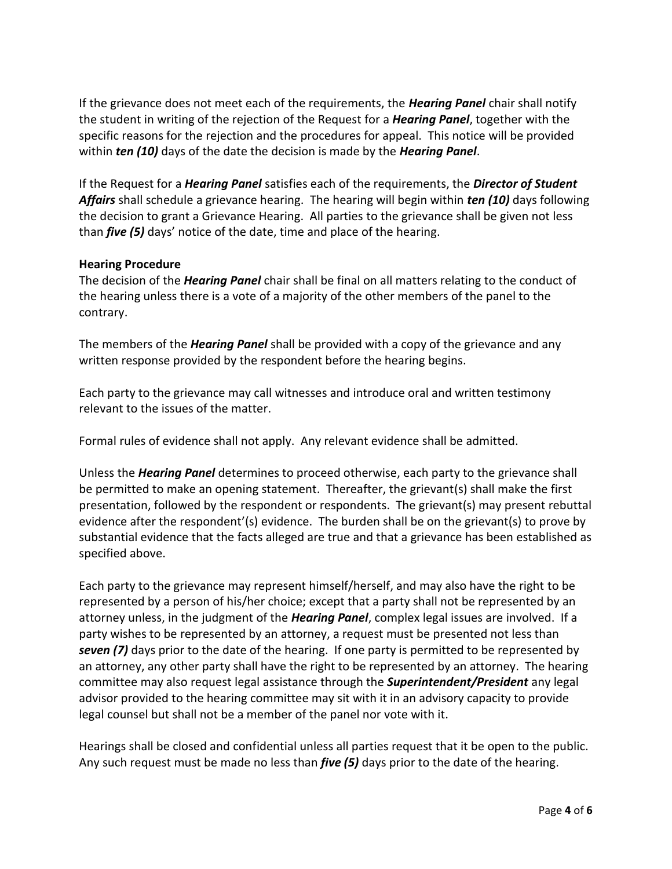If the grievance does not meet each of the requirements, the *Hearing Panel* chair shall notify the student in writing of the rejection of the Request for a *Hearing Panel*, together with the specific reasons for the rejection and the procedures for appeal. This notice will be provided within *ten (10)* days of the date the decision is made by the *Hearing Panel*.

If the Request for a *Hearing Panel* satisfies each of the requirements, the *Director of Student Affairs* shall schedule a grievance hearing. The hearing will begin within *ten (10)* days following the decision to grant a Grievance Hearing. All parties to the grievance shall be given not less than *five (5)* days' notice of the date, time and place of the hearing.

#### **Hearing Procedure**

The decision of the *Hearing Panel* chair shall be final on all matters relating to the conduct of the hearing unless there is a vote of a majority of the other members of the panel to the contrary.

The members of the *Hearing Panel* shall be provided with a copy of the grievance and any written response provided by the respondent before the hearing begins.

Each party to the grievance may call witnesses and introduce oral and written testimony relevant to the issues of the matter.

Formal rules of evidence shall not apply. Any relevant evidence shall be admitted.

Unless the *Hearing Panel* determines to proceed otherwise, each party to the grievance shall be permitted to make an opening statement. Thereafter, the grievant(s) shall make the first presentation, followed by the respondent or respondents. The grievant(s) may present rebuttal evidence after the respondent'(s) evidence. The burden shall be on the grievant(s) to prove by substantial evidence that the facts alleged are true and that a grievance has been established as specified above.

Each party to the grievance may represent himself/herself, and may also have the right to be represented by a person of his/her choice; except that a party shall not be represented by an attorney unless, in the judgment of the *Hearing Panel*, complex legal issues are involved. If a party wishes to be represented by an attorney, a request must be presented not less than *seven (7)* days prior to the date of the hearing. If one party is permitted to be represented by an attorney, any other party shall have the right to be represented by an attorney. The hearing committee may also request legal assistance through the *Superintendent/President* any legal advisor provided to the hearing committee may sit with it in an advisory capacity to provide legal counsel but shall not be a member of the panel nor vote with it.

Hearings shall be closed and confidential unless all parties request that it be open to the public. Any such request must be made no less than *five (5)* days prior to the date of the hearing.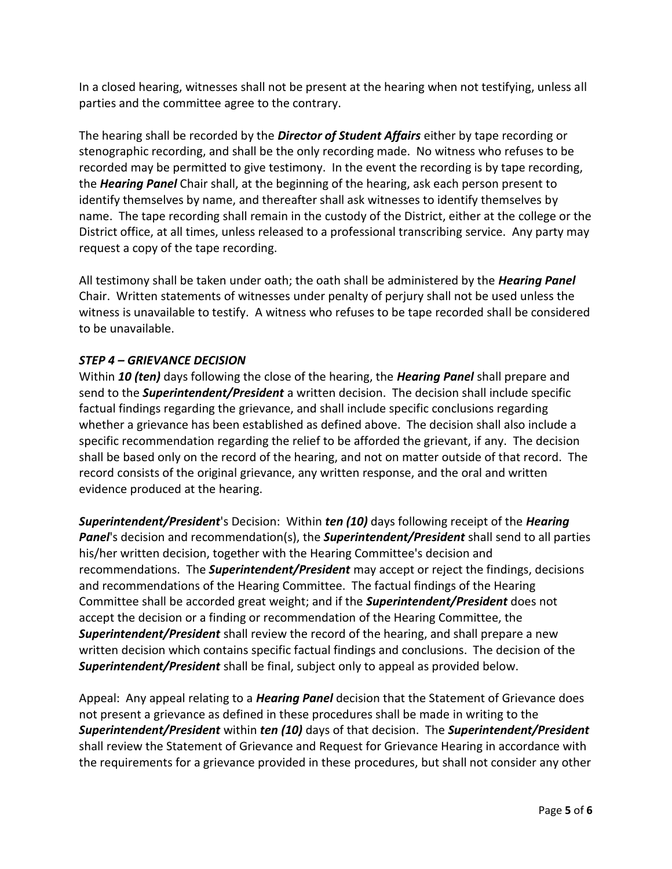In a closed hearing, witnesses shall not be present at the hearing when not testifying, unless all parties and the committee agree to the contrary.

The hearing shall be recorded by the *Director of Student Affairs* either by tape recording or stenographic recording, and shall be the only recording made. No witness who refuses to be recorded may be permitted to give testimony. In the event the recording is by tape recording, the *Hearing Panel* Chair shall, at the beginning of the hearing, ask each person present to identify themselves by name, and thereafter shall ask witnesses to identify themselves by name. The tape recording shall remain in the custody of the District, either at the college or the District office, at all times, unless released to a professional transcribing service. Any party may request a copy of the tape recording.

All testimony shall be taken under oath; the oath shall be administered by the *Hearing Panel* Chair. Written statements of witnesses under penalty of perjury shall not be used unless the witness is unavailable to testify. A witness who refuses to be tape recorded shall be considered to be unavailable.

## *STEP 4 – GRIEVANCE DECISION*

Within *10 (ten)* days following the close of the hearing, the *Hearing Panel* shall prepare and send to the *Superintendent/President* a written decision. The decision shall include specific factual findings regarding the grievance, and shall include specific conclusions regarding whether a grievance has been established as defined above. The decision shall also include a specific recommendation regarding the relief to be afforded the grievant, if any. The decision shall be based only on the record of the hearing, and not on matter outside of that record. The record consists of the original grievance, any written response, and the oral and written evidence produced at the hearing.

*Superintendent/President*'s Decision: Within *ten (10)* days following receipt of the *Hearing Panel*'s decision and recommendation(s), the *Superintendent/President* shall send to all parties his/her written decision, together with the Hearing Committee's decision and recommendations. The *Superintendent/President* may accept or reject the findings, decisions and recommendations of the Hearing Committee. The factual findings of the Hearing Committee shall be accorded great weight; and if the *Superintendent/President* does not accept the decision or a finding or recommendation of the Hearing Committee, the *Superintendent/President* shall review the record of the hearing, and shall prepare a new written decision which contains specific factual findings and conclusions. The decision of the *Superintendent/President* shall be final, subject only to appeal as provided below.

Appeal: Any appeal relating to a *Hearing Panel* decision that the Statement of Grievance does not present a grievance as defined in these procedures shall be made in writing to the *Superintendent/President* within *ten (10)* days of that decision. The *Superintendent/President* shall review the Statement of Grievance and Request for Grievance Hearing in accordance with the requirements for a grievance provided in these procedures, but shall not consider any other